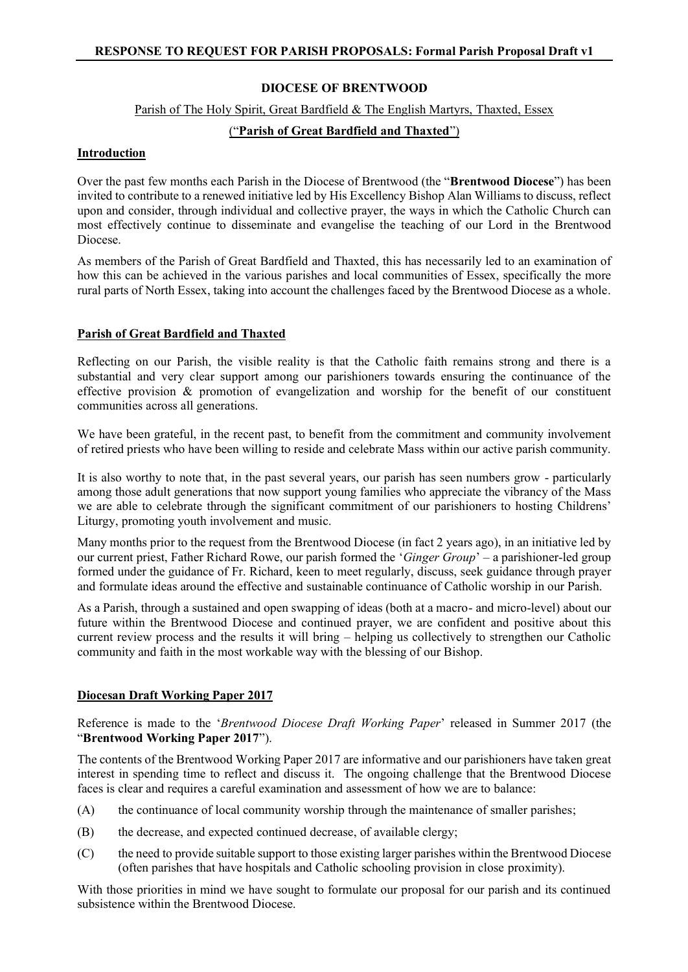# **DIOCESE OF BRENTWOOD**

#### Parish of The Holy Spirit, Great Bardfield & The English Martyrs, Thaxted, Essex

# ("**Parish of Great Bardfield and Thaxted**")

## **Introduction**

Over the past few months each Parish in the Diocese of Brentwood (the "**Brentwood Diocese**") has been invited to contribute to a renewed initiative led by His Excellency Bishop Alan Williams to discuss, reflect upon and consider, through individual and collective prayer, the ways in which the Catholic Church can most effectively continue to disseminate and evangelise the teaching of our Lord in the Brentwood Diocese.

As members of the Parish of Great Bardfield and Thaxted, this has necessarily led to an examination of how this can be achieved in the various parishes and local communities of Essex, specifically the more rural parts of North Essex, taking into account the challenges faced by the Brentwood Diocese as a whole.

# **Parish of Great Bardfield and Thaxted**

Reflecting on our Parish, the visible reality is that the Catholic faith remains strong and there is a substantial and very clear support among our parishioners towards ensuring the continuance of the effective provision & promotion of evangelization and worship for the benefit of our constituent communities across all generations.

We have been grateful, in the recent past, to benefit from the commitment and community involvement of retired priests who have been willing to reside and celebrate Mass within our active parish community.

It is also worthy to note that, in the past several years, our parish has seen numbers grow - particularly among those adult generations that now support young families who appreciate the vibrancy of the Mass we are able to celebrate through the significant commitment of our parishioners to hosting Childrens' Liturgy, promoting youth involvement and music.

Many months prior to the request from the Brentwood Diocese (in fact 2 years ago), in an initiative led by our current priest, Father Richard Rowe, our parish formed the '*Ginger Group*' – a parishioner-led group formed under the guidance of Fr. Richard, keen to meet regularly, discuss, seek guidance through prayer and formulate ideas around the effective and sustainable continuance of Catholic worship in our Parish.

As a Parish, through a sustained and open swapping of ideas (both at a macro- and micro-level) about our future within the Brentwood Diocese and continued prayer, we are confident and positive about this current review process and the results it will bring – helping us collectively to strengthen our Catholic community and faith in the most workable way with the blessing of our Bishop.

## **Diocesan Draft Working Paper 2017**

Reference is made to the '*Brentwood Diocese Draft Working Paper*' released in Summer 2017 (the "**Brentwood Working Paper 2017**").

The contents of the Brentwood Working Paper 2017 are informative and our parishioners have taken great interest in spending time to reflect and discuss it. The ongoing challenge that the Brentwood Diocese faces is clear and requires a careful examination and assessment of how we are to balance:

- (A) the continuance of local community worship through the maintenance of smaller parishes;
- (B) the decrease, and expected continued decrease, of available clergy;
- (C) the need to provide suitable support to those existing larger parishes within the Brentwood Diocese (often parishes that have hospitals and Catholic schooling provision in close proximity).

With those priorities in mind we have sought to formulate our proposal for our parish and its continued subsistence within the Brentwood Diocese.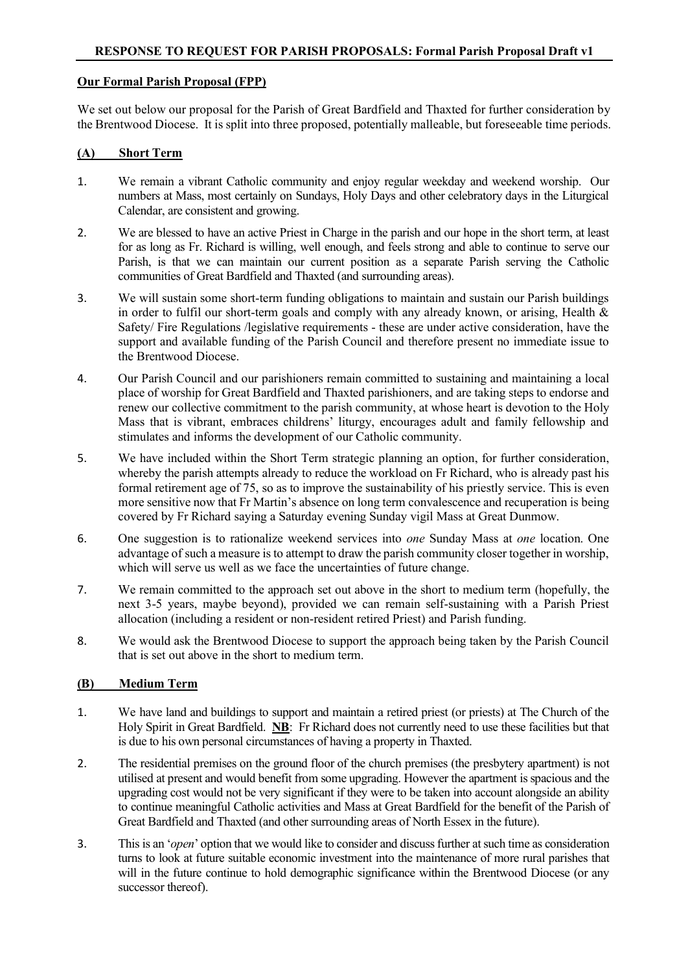## **Our Formal Parish Proposal (FPP)**

We set out below our proposal for the Parish of Great Bardfield and Thaxted for further consideration by the Brentwood Diocese. It is split into three proposed, potentially malleable, but foreseeable time periods.

## **(A) Short Term**

- 1. We remain a vibrant Catholic community and enjoy regular weekday and weekend worship. Our numbers at Mass, most certainly on Sundays, Holy Days and other celebratory days in the Liturgical Calendar, are consistent and growing.
- 2. We are blessed to have an active Priest in Charge in the parish and our hope in the short term, at least for as long as Fr. Richard is willing, well enough, and feels strong and able to continue to serve our Parish, is that we can maintain our current position as a separate Parish serving the Catholic communities of Great Bardfield and Thaxted (and surrounding areas).
- 3. We will sustain some short-term funding obligations to maintain and sustain our Parish buildings in order to fulfil our short-term goals and comply with any already known, or arising, Health & Safety/ Fire Regulations /legislative requirements - these are under active consideration, have the support and available funding of the Parish Council and therefore present no immediate issue to the Brentwood Diocese.
- 4. Our Parish Council and our parishioners remain committed to sustaining and maintaining a local place of worship for Great Bardfield and Thaxted parishioners, and are taking steps to endorse and renew our collective commitment to the parish community, at whose heart is devotion to the Holy Mass that is vibrant, embraces childrens' liturgy, encourages adult and family fellowship and stimulates and informs the development of our Catholic community.
- 5. We have included within the Short Term strategic planning an option, for further consideration, whereby the parish attempts already to reduce the workload on Fr Richard, who is already past his formal retirement age of 75, so as to improve the sustainability of his priestly service. This is even more sensitive now that Fr Martin's absence on long term convalescence and recuperation is being covered by Fr Richard saying a Saturday evening Sunday vigil Mass at Great Dunmow.
- 6. One suggestion is to rationalize weekend services into *one* Sunday Mass at *one* location. One advantage of such a measure is to attempt to draw the parish community closer together in worship, which will serve us well as we face the uncertainties of future change.
- 7. We remain committed to the approach set out above in the short to medium term (hopefully, the next 3-5 years, maybe beyond), provided we can remain self-sustaining with a Parish Priest allocation (including a resident or non-resident retired Priest) and Parish funding.
- 8. We would ask the Brentwood Diocese to support the approach being taken by the Parish Council that is set out above in the short to medium term.

## **(B) Medium Term**

- 1. We have land and buildings to support and maintain a retired priest (or priests) at The Church of the Holy Spirit in Great Bardfield. **NB**: Fr Richard does not currently need to use these facilities but that is due to his own personal circumstances of having a property in Thaxted.
- 2. The residential premises on the ground floor of the church premises (the presbytery apartment) is not utilised at present and would benefit from some upgrading. However the apartment is spacious and the upgrading cost would not be very significant if they were to be taken into account alongside an ability to continue meaningful Catholic activities and Mass at Great Bardfield for the benefit of the Parish of Great Bardfield and Thaxted (and other surrounding areas of North Essex in the future).
- 3. This is an '*open*' option that we would like to consider and discuss further at such time as consideration turns to look at future suitable economic investment into the maintenance of more rural parishes that will in the future continue to hold demographic significance within the Brentwood Diocese (or any successor thereof).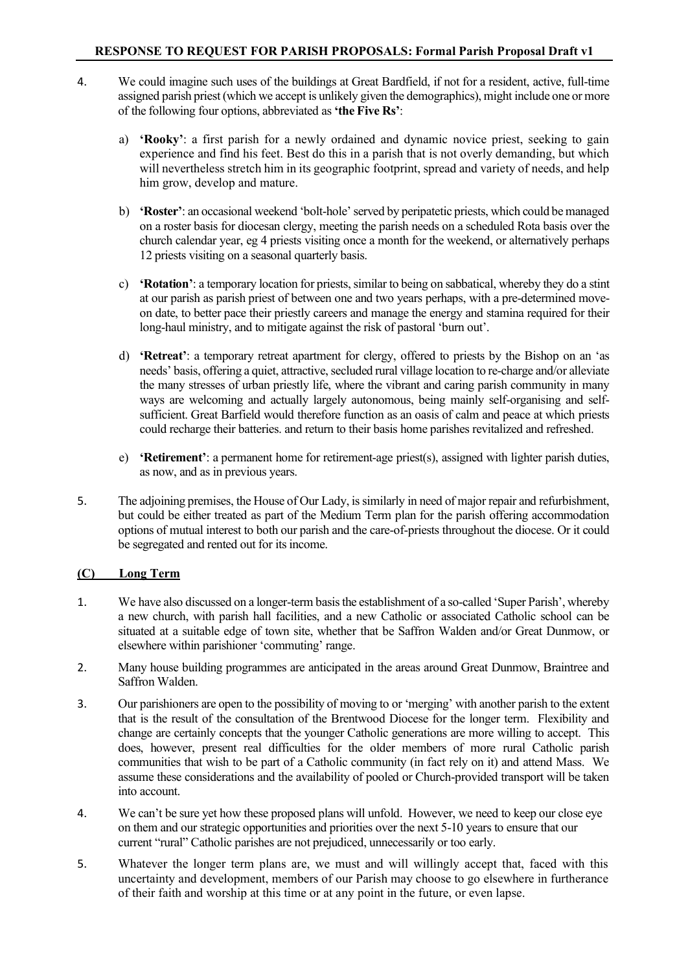- 4. We could imagine such uses of the buildings at Great Bardfield, if not for a resident, active, full-time assigned parish priest (which we accept is unlikely given the demographics), might include one or more of the following four options, abbreviated as **'the Five Rs'**:
	- a) **'Rooky'**: a first parish for a newly ordained and dynamic novice priest, seeking to gain experience and find his feet. Best do this in a parish that is not overly demanding, but which will nevertheless stretch him in its geographic footprint, spread and variety of needs, and help him grow, develop and mature.
	- b) **'Roster'**: an occasional weekend 'bolt-hole'served by peripatetic priests, which could be managed on a roster basis for diocesan clergy, meeting the parish needs on a scheduled Rota basis over the church calendar year, eg 4 priests visiting once a month for the weekend, or alternatively perhaps 12 priests visiting on a seasonal quarterly basis.
	- c) **'Rotation'**: a temporary location for priests, similar to being on sabbatical, whereby they do a stint at our parish as parish priest of between one and two years perhaps, with a pre-determined moveon date, to better pace their priestly careers and manage the energy and stamina required for their long-haul ministry, and to mitigate against the risk of pastoral 'burn out'.
	- d) **'Retreat'**: a temporary retreat apartment for clergy, offered to priests by the Bishop on an 'as needs' basis, offering a quiet, attractive, secluded rural village location to re-charge and/or alleviate the many stresses of urban priestly life, where the vibrant and caring parish community in many ways are welcoming and actually largely autonomous, being mainly self-organising and selfsufficient. Great Barfield would therefore function as an oasis of calm and peace at which priests could recharge their batteries. and return to their basis home parishes revitalized and refreshed.
	- e) **'Retirement'**: a permanent home for retirement-age priest(s), assigned with lighter parish duties, as now, and as in previous years.
- 5. The adjoining premises, the House of Our Lady, is similarly in need of major repair and refurbishment, but could be either treated as part of the Medium Term plan for the parish offering accommodation options of mutual interest to both our parish and the care-of-priests throughout the diocese. Or it could be segregated and rented out for its income.

# **(C) Long Term**

- 1. We have also discussed on a longer-term basis the establishment of a so-called 'Super Parish', whereby a new church, with parish hall facilities, and a new Catholic or associated Catholic school can be situated at a suitable edge of town site, whether that be Saffron Walden and/or Great Dunmow, or elsewhere within parishioner 'commuting' range.
- 2. Many house building programmes are anticipated in the areas around Great Dunmow, Braintree and Saffron Walden.
- 3. Our parishioners are open to the possibility of moving to or 'merging' with another parish to the extent that is the result of the consultation of the Brentwood Diocese for the longer term. Flexibility and change are certainly concepts that the younger Catholic generations are more willing to accept. This does, however, present real difficulties for the older members of more rural Catholic parish communities that wish to be part of a Catholic community (in fact rely on it) and attend Mass. We assume these considerations and the availability of pooled or Church-provided transport will be taken into account.
- 4. We can't be sure yet how these proposed plans will unfold. However, we need to keep our close eye on them and our strategic opportunities and priorities over the next 5-10 years to ensure that our current "rural" Catholic parishes are not prejudiced, unnecessarily or too early.
- 5. Whatever the longer term plans are, we must and will willingly accept that, faced with this uncertainty and development, members of our Parish may choose to go elsewhere in furtherance of their faith and worship at this time or at any point in the future, or even lapse.